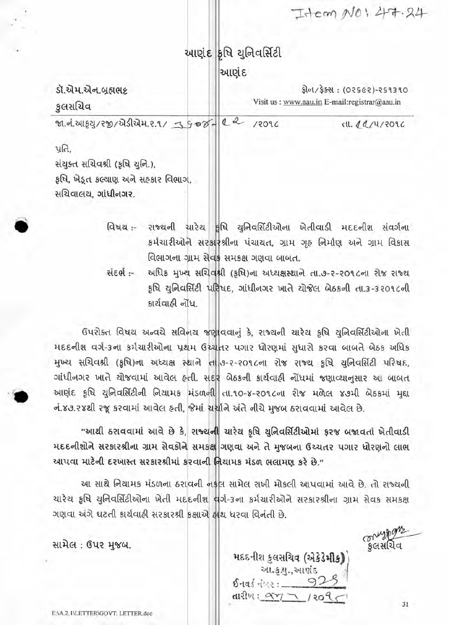IHem NO: 477.24

|                                                                                             | આણંદ <mark>કૃ</mark> ષિ યુનિવર્સિટી<br>આણંદ                               |                |  |
|---------------------------------------------------------------------------------------------|---------------------------------------------------------------------------|----------------|--|
| ડૉ.એમ.એન.બ્રહ્મભક્ર<br>કુલસચિવ                                                              | शैन/ईक्स: (02562)-259390<br>Visit us : www.aau.in E-mail:registrar@aau.in |                |  |
| જા.નં.આફથુ/?જી/એડીએમ. ?. 9/ 3908- 1 € 2<br>પ્રતિ,                                           | 1209C                                                                     | rll. 11/4/2096 |  |
| સંયુક્ત સચિવશ્રી (કૃષિ યુનિ.),<br>કૃષિ, ખેડૂત કલ્યાણ અને સહકાર વિભાગ,<br>સચિવાલય, ગાંધીનગર. |                                                                           |                |  |

વિષય:- રાજ્યની ચારેય કૃષિ યુનિવર્સિટીઓના ખેતીવાડી મદદનીશ સંવર્ગના કર્મચારીઓને સરકારશ્રીના પંચાયત, ગ્રામ ગૃહ નિર્માણ અને ગ્રામ વિકાસ વિભાગના ગ્રામ સેવક સમકક્ષ ગણવા બાબત.

અધિક મુખ્ય સચિવશ્રી (કૃષિ)ના અધ્યક્ષસ્થાને તા.૭-૨-૨૦૧૮ના રોજ રાજ્ય સંદર્ભ :-કૃષિ યુનિવર્સિટી પરિષદ, ગાંધીનગર ખાતે ચોજેલ બેઠકની તા.૩-૩૨૦૧૮ની કાર્યવાઠી નોંધ.

ઉપરોક્ત વિષય અન્વયે સવિનય જણાવવાનું કે, રાજ્યની ચારેય કૃષિ યુનિવર્સિટીઓના ખેતી મદદનીશ વર્ગ-3ના કર્મચારીઓના પ્રથમ ઉચ્ચાનર પગાર ધોરણમાં સુધારો કરવા બાબતે બેઠક અધિક મુખ્ય સચિવશ્રી (કૃષિ)ના અધ્યક્ષ સ્થાને તાં ૭-૨-૨૦૧૮ના રોજ રાજ્ય કૃષિ યુનિવર્સિટી પરિષદ, ગાંધીનગર ખાતે ચોજવામાં આવેલ કતી. સદર બેઠકની કાર્યવાઠી નોંધમાં જણાવ્યાનુસાર આ બાબત આણંદ કૃષિ યુનિવર્સિટીની નિયામક મંડળની તા.૧૦-૪-૨૦૧૮ના રોજ મળેલ ૪૭મી બેઠકમાં મુદ્દા નં.૪૭.૨૪થી રજૂ કરવામાં આવેલ હતી, જેમાં ચર્ચાને અંતે નીચે મુજબ ઠરાવવામાં આવેલ છે.

"આથી ઠરાવવામાં આવે છે કે, રાજ્યની ચારેય કૃષિ યુનિવર્સિટીઓમાં ફરજ બજાવતાં ખેતીવાડી મદદનીશોને સરકારશ્રીના ગ્રામ સેવકોને સમકક્ષ ગણવા અને તે મુજબના ઉચ્ચતર પગાર ધોરણનો લાભ આપવા માટેની દરખાસ્ત સરકારશ્રીમાં કરવાની નિિયામક મંડળ ભલામણ કરે છે."

આ સાથે નિયામક મંડળના ઠરાવની નકુલ સામેલ રાખી મોકલી આપવામાં આવે છે. તો રાજ્યની ચારેય કૃષિ યુનિવર્સિટીઓના ખેતી મદદનીશ વર્ગ-3ના કર્મચારીઓને સરકારશ્રીના ગ્રામ સેવક સમકક્ષ ગણવા અંગે ઘટતી કાર્યવાહી સરકારશ્રી કક્ષાએ ફાથ ધરવા વિનંતી છે.

સામેલ: ઉપર મુજબ.

મદદનીશ કુલસચિવ (એકેડેમીક) આ.ક.ય.,આશંદ  $6$ નવર્ડ નંબર : $\_\_$ તારીખ : AY

E:\A.2.1\LETTER\GOVT.LETTER.doc

लामगुरुकुष्ट्र<br>हुलसंघिव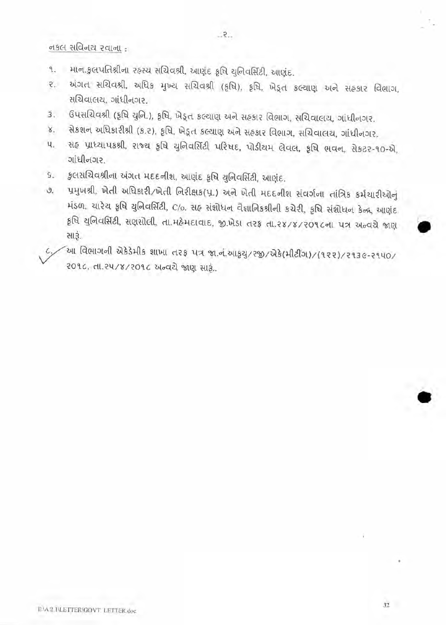નકલ સવિનય રવાના :

- માન,કુલપતિશ્રીના રહ્સ્ય સચિવશ્રી, આણંદ કૃષિ યુનિવર્સિટી, આણંદ.  $9.$
- અંગત સચિવશ્રી, અધિક મુખ્ય સચિવશ્રી (કૃષિ), કૃષિ, ખેડૂત કલ્યાણ અને સહકાર વિભાગ,  $\overline{z}$ . સચિવાલય, ગાંધીનગર,

 $.3.$ 

- ઉપસચિવશ્રી (કૃષિ યુનિ.), કૃષિ, ખેડૂત કલ્યાણ અને સહકાર વિભાગ, સચિવાલય, ગાંધીનગર. 3.
- સેકશન અધિકારીશ્રી (ક.૨), કૃષિ, ખેડૂત કલ્યાણ અને સહકાર વિભાગ, સચિવાલય, ગાંધીનગર. x.
- से प्राध्यापक्ष्री, राज्य कृषि युनिवर्सिटी परिषद, पोडीयम लेवल, कृषि लवन, सेक्टर-१०-से, ч. ગાંધીનગર.
- કુલસચિવશ્રીના અંગત મદદનીશ, આણંદ કૃષિ યુનિવર્સિટી, આણંદ.  $\mathcal{G}_{\mathcal{L}}$
- प्रमुणश्री, ખેતી અધિકારી/ખેતી નિરીક્ષક(પ્ર.) અને ખેતી મદદનીશ સંવર્ગના તાંત્રિક કર્મચારીઓનું  $9.$ મંડળ, ચારેય કૃષિ યુનિવર્સિટી, C/o. સહ સંશોધન વૈજ્ઞાનિકશ્રીની કચેરી, કૃષિ સંશોધન કેન્દ્ર, આણંદ gषि युनिवर्सिटी, सशसोली, ता.महेमदावाद, જી.ખેડા तरફ ता.२४/४/२०१८ना पत्र અन्वये श्वाश સારૂં.

આ વિભાગની એકેડેમીક શાખા તરફ પત્ર જા.નં.આફુયુ/રજી/એકે(મીટીંગ)/(૧૨૨)/૨૧૩૯-૨૧૫૦/ २०१८, ता.२५/४/२०१८ खन्वये श्वाणु साइं..

 $32$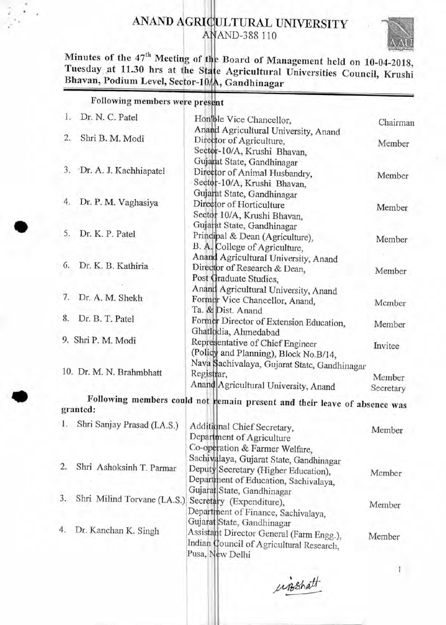## ANAND AGRICULTURAL UNIVERSITY **A** I AND-388 110



**Tuesday at 11.30 hrs at the State Agricultural Universities Council, Krushi** Minutes of the 47<sup>th</sup> Meeting of the Board of Management held on 10-04-2018, **Bhavan, Podium Level, Sector-10 Gandhinagar** 

|          | Following members were present |                                                                                                    |                     |
|----------|--------------------------------|----------------------------------------------------------------------------------------------------|---------------------|
| 1.       | Dr. N. C. Patel                | Hon ble Vice Chancellor,                                                                           | Chairman            |
|          |                                | Anand Agricultural University, Anand                                                               |                     |
| 2.       | Shri B. M. Modi                | Director of Agriculture,<br>Sector-10/A, Krushi Bhavan,                                            | Member              |
|          | 3. Dr. A. J. Kachhiapatel      | Gujarat State, Gandhinagar<br>Director of Animal Husbandry,<br>Sector-10/A, Krushi Bhavan,         | Member              |
|          | 4. Dr. P. M. Vaghasiya         | Gujarat State, Gandhinagar<br>Director of Horticulture<br>Sector 10/A, Krushi Bhavan,              | Member              |
| 5.       | Dr. K. P. Patel                | Gujarat State, Gandhinagar<br>Principal & Dean (Agriculture),<br>B. A. College of Agriculture,     | Member              |
| 6.       | Dr. K. B. Kathiria             | Anand Agricultural University, Anand<br>Director of Research & Dean,<br>Post Graduate Studies,     | Member              |
| 7.       | Dr. A. M. Shekh                | Anand Agricultural University, Anand<br>Former Vice Chancellor, Anand,<br>Ta. & Dist. Anand        | Mcmber              |
| 8.       | Dr. B. T. Patel                | Former Director of Extension Education,<br>Ghatlodia, Ahmedabad                                    | Member              |
|          | 9. Shri P. M. Modi             | Representative of Chief Engineer<br>(Policy and Planning), Block No.B/14,                          | Invitee             |
|          | 10. Dr. M. N. Brahmbhatt       | Nava Sachivalaya, Gujarat Statc, Gandhinagar<br>Registrar,<br>Anand Agricultural University, Anand | Member<br>Secretary |
| granted: |                                | Following members could not remain present and their leave of absence was                          |                     |
|          | 1. Shri Sanjay Prasad (I.A.S.) | Additional Chief Secretary,<br>Department of Agriculture<br>Co-operation & Farmer Welfare,         | Member              |
| 2.       | Shri Ashoksinh T. Parmar       | Sachivalaya, Gujarat State, Gandhinagar<br>Deputy Secretary (Higher Education),                    | Member              |

Gujarat State, Gandhinagar Secretary (Expenditure), 3. Shri Milind Torvane (I.A.S.)

Dep

4. Dr. Kanchan K. Singh

unshall

Department of Finance, Sachivalaya,

Assistant Director General (Farm Engg.), Indian Council of Agricultural Research,

ent of Education, Sachivalaya,

Gujarat State, Gandhinagar

Pusa, New Delhi

1

Member

Member